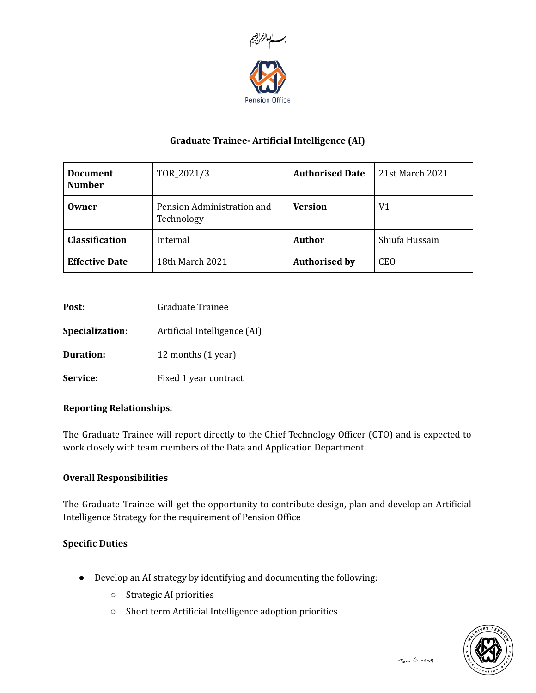

# Graduate Trainee- Artificial Intelligence (AI)

| <b>Document</b><br><b>Number</b> | TOR_2021/3                               | <b>Authorised Date</b> | 21st March 2021 |
|----------------------------------|------------------------------------------|------------------------|-----------------|
| Owner                            | Pension Administration and<br>Technology | <b>Version</b>         | V <sub>1</sub>  |
| <b>Classification</b>            | Internal                                 | <b>Author</b>          | Shiufa Hussain  |
| <b>Effective Date</b>            | 18th March 2021                          | <b>Authorised by</b>   | <b>CEO</b>      |

| Graduate Trainee |
|------------------|
|                  |

Specialization: Artificial Intelligence (AI)

**Duration:** 12 months (1 year)

Service: Fixed 1 year contract

## Reporting Relationships.

The Graduate Trainee will report directly to the Chief Technology Officer (CTO) and is expected to work closely with team members of the Data and Application Department.

## Overall Responsibilities

The Graduate Trainee will get the opportunity to contribute design, plan and develop an Artificial Intelligence Strategy for the requirement of Pension Office

## Specific Duties

- Develop an AI strategy by identifying and documenting the following:
	- Strategic AI priorities
	- Short term Artificial Intelligence adoption priorities

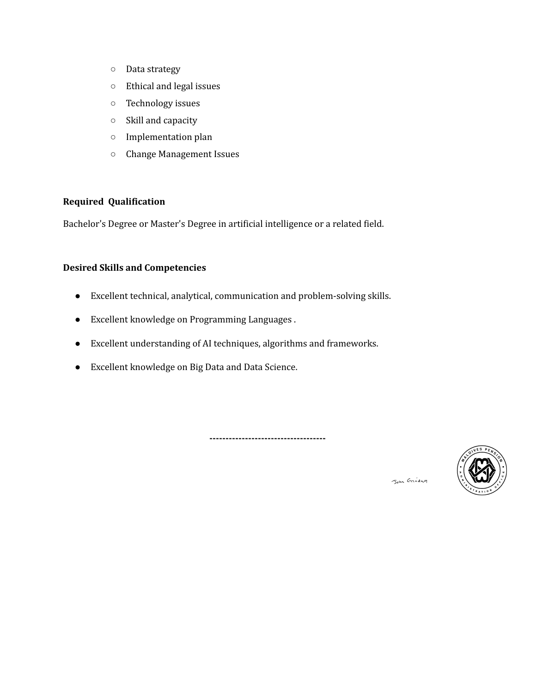- Data strategy
- Ethical and legal issues
- Technology issues
- Skill and capacity
- Implementation plan
- Change Management Issues

## Required Qualification

Bachelor's Degree or Master's Degree in artificial intelligence or a related field.

## Desired Skills and Competencies

- Excellent technical, analytical, communication and problem-solving skills.
- Excellent knowledge on Programming Languages .
- Excellent understanding of AI techniques, algorithms and frameworks.
- Excellent knowledge on Big Data and Data Science.

------------------------------------



John Griday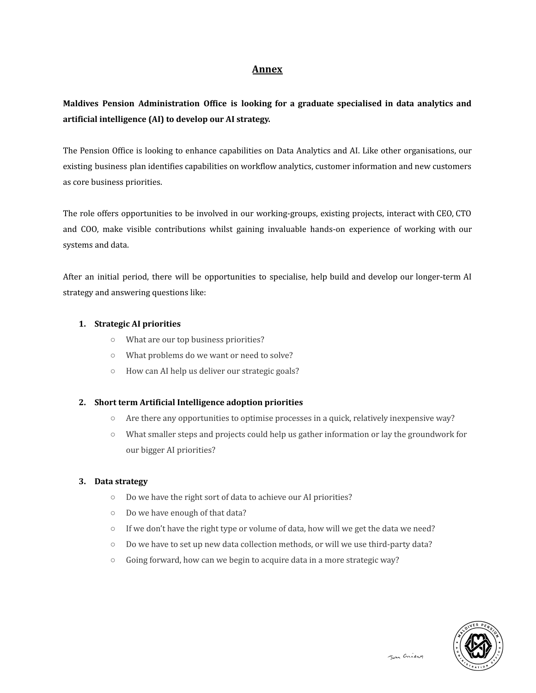## Annex

# Maldives Pension Administration Office is looking for a graduate specialised in data analytics and artificial intelligence (AI) to develop our AI strategy.

The Pension Office is looking to enhance capabilities on Data Analytics and AI. Like other organisations, our existing business plan identifies capabilities on workflow analytics, customer information and new customers as core business priorities.

The role offers opportunities to be involved in our working-groups, existing projects, interact with CEO, CTO and COO, make visible contributions whilst gaining invaluable hands-on experience of working with our systems and data.

After an initial period, there will be opportunities to specialise, help build and develop our longer-term AI strategy and answering questions like:

#### 1. Strategic AI priorities

- What are our top business priorities?
- What problems do we want or need to solve?
- How can AI help us deliver our strategic goals?

#### 2. Short term Artificial Intelligence adoption priorities

- Are there any opportunities to optimise processes in a quick, relatively inexpensive way?
- What smaller steps and projects could help us gather information or lay the groundwork for our bigger AI priorities?

#### 3. Data strategy

- Do we have the right sort of data to achieve our AI priorities?
- Do we have enough of that data?
- If we don't have the right type or volume of data, how will we get the data we need?
- Do we have to set up new data collection methods, or will we use third-party data?
- Going forward, how can we begin to acquire data in a more strategic way?

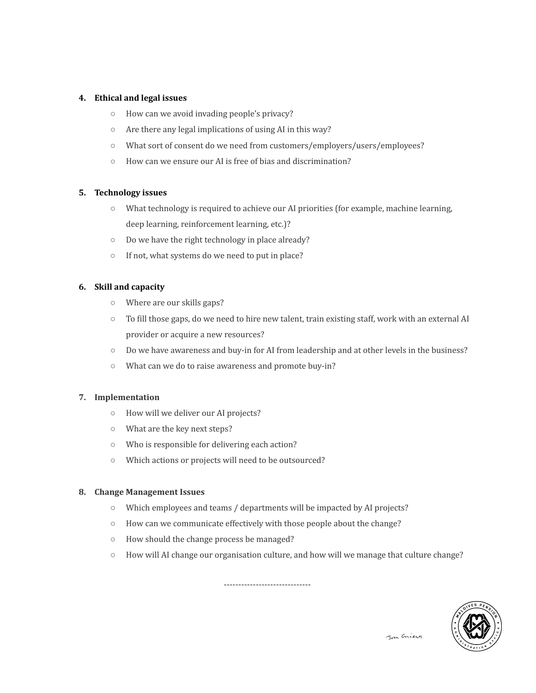#### 4. Ethical and legal issues

- How can we avoid invading people's privacy?
- Are there any legal implications of using AI in this way?
- What sort of consent do we need from customers/employers/users/employees?
- How can we ensure our AI is free of bias and discrimination?

#### 5. Technology issues

- What technology is required to achieve our AI priorities (for example, machine learning, deep learning, reinforcement learning, etc.)?
- Do we have the right technology in place already?
- If not, what systems do we need to put in place?

#### 6. Skill and capacity

- Where are our skills gaps?
- To fill those gaps, do we need to hire new talent, train existing staff, work with an external AI provider or acquire a new resources?
- Do we have awareness and buy-in for AI from leadership and at other levels in the business?
- What can we do to raise awareness and promote buy-in?

#### 7. Implementation

- How will we deliver our AI projects?
- What are the key next steps?
- Who is responsible for delivering each action?
- Which actions or projects will need to be outsourced?

#### 8. Change Management Issues

- Which employees and teams / departments will be impacted by AI projects?
- How can we communicate effectively with those people about the change?
- How should the change process be managed?
- How will AI change our organisation culture, and how will we manage that culture change?

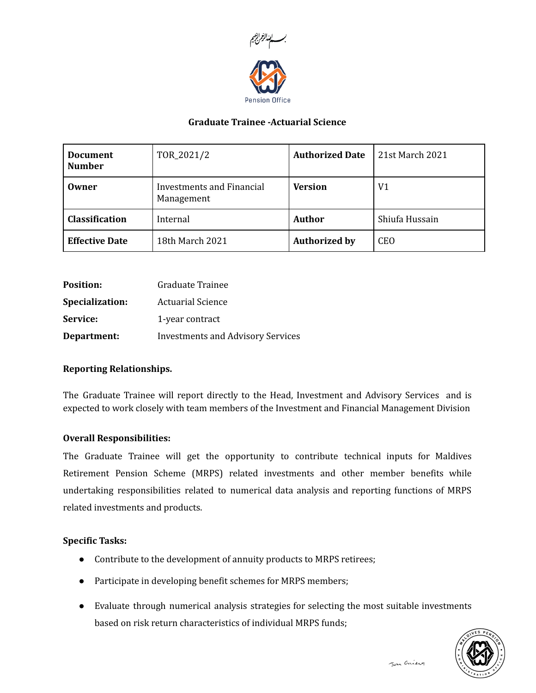

## Graduate Trainee -Actuarial Science

| <b>Document</b><br><b>Number</b> | TOR_2021/2                              | <b>Authorized Date</b> | 21st March 2021 |
|----------------------------------|-----------------------------------------|------------------------|-----------------|
| Owner                            | Investments and Financial<br>Management | <b>Version</b>         | V <sub>1</sub>  |
| <b>Classification</b>            | Internal                                | <b>Author</b>          | Shiufa Hussain  |
| <b>Effective Date</b>            | 18th March 2021                         | <b>Authorized by</b>   | <b>CEO</b>      |

| <b>Position:</b>       | Graduate Trainee                         |
|------------------------|------------------------------------------|
| <b>Specialization:</b> | <b>Actuarial Science</b>                 |
| <b>Service:</b>        | 1-year contract                          |
| Department:            | <b>Investments and Advisory Services</b> |

## Reporting Relationships.

The Graduate Trainee will report directly to the Head, Investment and Advisory Services and is expected to work closely with team members of the Investment and Financial Management Division

## Overall Responsibilities:

The Graduate Trainee will get the opportunity to contribute technical inputs for Maldives Retirement Pension Scheme (MRPS) related investments and other member benefits while undertaking responsibilities related to numerical data analysis and reporting functions of MRPS related investments and products.

## Specific Tasks:

- Contribute to the development of annuity products to MRPS retirees;
- Participate in developing benefit schemes for MRPS members;
- Evaluate through numerical analysis strategies for selecting the most suitable investments based on risk return characteristics of individual MRPS funds;